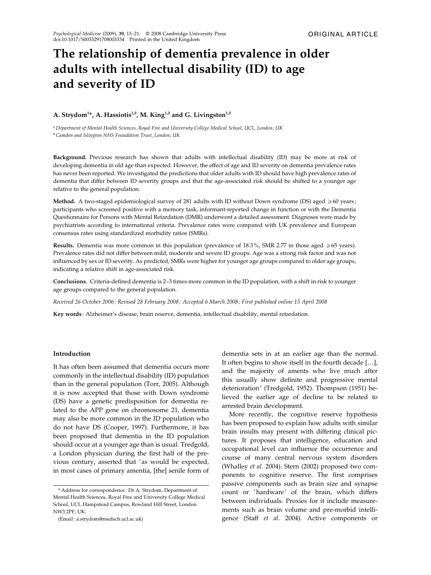# The relationship of dementia prevalence in older adults with intellectual disability (ID) to age and severity of ID

# A. Strydom<sup>1\*</sup>, A. Hassiotis<sup>1,2</sup>, M. King<sup>1,2</sup> and G. Livingston<sup>1,2</sup>

<sup>1</sup> Department of Mental Health Sciences, Royal Free and University College Medical School, UCL, London, UK <sup>2</sup> Camden and Islington NHS Foundation Trust, London, UK

Background. Previous research has shown that adults with intellectual disability (ID) may be more at risk of developing dementia in old age than expected. However, the effect of age and ID severity on dementia prevalence rates has never been reported. We investigated the predictions that older adults with ID should have high prevalence rates of dementia that differ between ID severity groups and that the age-associated risk should be shifted to a younger age relative to the general population.

Method. A two-staged epidemiological survey of 281 adults with ID without Down syndrome (DS) aged  $\geq 60$  years; participants who screened positive with a memory task, informant-reported change in function or with the Dementia Questionnaire for Persons with Mental Retardation (DMR) underwent a detailed assessment. Diagnoses were made by psychiatrists according to international criteria. Prevalence rates were compared with UK prevalence and European consensus rates using standardized morbidity ratios (SMRs).

Results. Dementia was more common in this population (prevalence of 18.3%, SMR 2.77 in those aged  $\geq 65$  years). Prevalence rates did not differ between mild, moderate and severe ID groups. Age was a strong risk factor and was not influenced by sex or ID severity. As predicted, SMRs were higher for younger age groups compared to older age groups, indicating a relative shift in age-associated risk.

Conclusions. Criteria-defined dementia is 2–3 times more common in the ID population, with a shift in risk to younger age groups compared to the general population.

Received 26 October 2006; Revised 28 February 2008; Accepted 6 March 2008; First published online 15 April 2008

Key words : Alzheimer's disease, brain reserve, dementia, intellectual disability, mental retardation.

## Introduction

It has often been assumed that dementia occurs more commonly in the intellectual disability (ID) population than in the general population (Torr, 2005). Although it is now accepted that those with Down syndrome (DS) have a genetic predisposition for dementia related to the APP gene on chromosome 21, dementia may also be more common in the ID population who do not have DS (Cooper, 1997). Furthermore, it has been proposed that dementia in the ID population should occur at a younger age than is usual. Tredgold, a London physician during the first half of the previous century, asserted that 'as would be expected, in most cases of primary amentia, [the] senile form of

(Email : a.strydom@medsch.ucl.ac.uk)

dementia sets in at an earlier age than the normal. It often begins to show itself in the fourth decade […], and the majority of aments who live much after this usually show definite and progressive mental deterioration' (Tredgold, 1952). Thompson (1951) believed the earlier age of decline to be related to arrested brain development.

More recently, the cognitive reserve hypothesis has been proposed to explain how adults with similar brain insults may present with differing clinical pictures. It proposes that intelligence, education and occupational level can influence the occurrence and course of many central nervous system disorders (Whalley et al. 2004). Stern (2002) proposed two components to cognitive reserve. The first comprises passive components such as brain size and synapse count or 'hardware' of the brain, which differs between individuals. Proxies for it include measurements such as brain volume and pre-morbid intelligence (Staff et al. 2004). Active components or

<sup>\*</sup> Address for correspondence : Dr A. Strydom, Department of Mental Health Sciences, Royal Free and University College Medical School, UCL Hampstead Campus, Rowland Hill Street, London NW3 2PF, UK.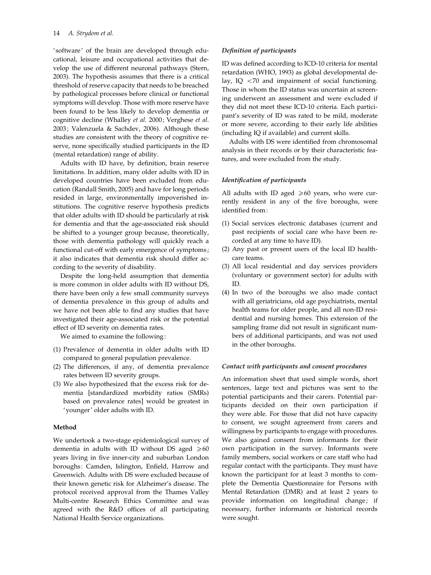'software' of the brain are developed through educational, leisure and occupational activities that develop the use of different neuronal pathways (Stern, 2003). The hypothesis assumes that there is a critical threshold of reserve capacity that needs to be breached by pathological processes before clinical or functional symptoms will develop. Those with more reserve have been found to be less likely to develop dementia or cognitive decline (Whalley et al. 2000; Verghese et al. 2003; Valenzuela & Sachdev, 2006). Although these studies are consistent with the theory of cognitive reserve, none specifically studied participants in the ID (mental retardation) range of ability.

Adults with ID have, by definition, brain reserve limitations. In addition, many older adults with ID in developed countries have been excluded from education (Randall Smith, 2005) and have for long periods resided in large, environmentally impoverished institutions. The cognitive reserve hypothesis predicts that older adults with ID should be particularly at risk for dementia and that the age-associated risk should be shifted to a younger group because, theoretically, those with dementia pathology will quickly reach a functional cut-off with early emergence of symptoms; it also indicates that dementia risk should differ according to the severity of disability.

Despite the long-held assumption that dementia is more common in older adults with ID without DS, there have been only a few small community surveys of dementia prevalence in this group of adults and we have not been able to find any studies that have investigated their age-associated risk or the potential effect of ID severity on dementia rates.

We aimed to examine the following:

- (1) Prevalence of dementia in older adults with ID compared to general population prevalence.
- (2) The differences, if any, of dementia prevalence rates between ID severity groups.
- (3) We also hypothesized that the excess risk for dementia [standardized morbidity ratios (SMRs) based on prevalence rates] would be greatest in 'younger' older adults with ID.

# Method

We undertook a two-stage epidemiological survey of dementia in adults with ID without DS aged  $\geq 60$ years living in five inner-city and suburban London boroughs: Camden, Islington, Enfield, Harrow and Greenwich. Adults with DS were excluded because of their known genetic risk for Alzheimer's disease. The protocol received approval from the Thames Valley Multi-centre Research Ethics Committee and was agreed with the R&D offices of all participating National Health Service organizations.

## Definition of participants

ID was defined according to ICD-10 criteria for mental retardation (WHO, 1993) as global developmental delay, IQ <70 and impairment of social functioning. Those in whom the ID status was uncertain at screening underwent an assessment and were excluded if they did not meet these ICD-10 criteria. Each participant's severity of ID was rated to be mild, moderate or more severe, according to their early life abilities (including IQ if available) and current skills.

Adults with DS were identified from chromosomal analysis in their records or by their characteristic features, and were excluded from the study.

# Identification of participants

All adults with ID aged  $\geq 60$  years, who were currently resident in any of the five boroughs, were identified from:

- (1) Social services electronic databases (current and past recipients of social care who have been recorded at any time to have ID).
- (2) Any past or present users of the local ID healthcare teams.
- (3) All local residential and day services providers (voluntary or government sector) for adults with ID.
- (4) In two of the boroughs we also made contact with all geriatricians, old age psychiatrists, mental health teams for older people, and all non-ID residential and nursing homes. This extension of the sampling frame did not result in significant numbers of additional participants, and was not used in the other boroughs.

## Contact with participants and consent procedures

An information sheet that used simple words, short sentences, large text and pictures was sent to the potential participants and their carers. Potential participants decided on their own participation if they were able. For those that did not have capacity to consent, we sought agreement from carers and willingness by participants to engage with procedures. We also gained consent from informants for their own participation in the survey. Informants were family members, social workers or care staff who had regular contact with the participants. They must have known the participant for at least 3 months to complete the Dementia Questionnaire for Persons with Mental Retardation (DMR) and at least 2 years to provide information on longitudinal change; if necessary, further informants or historical records were sought.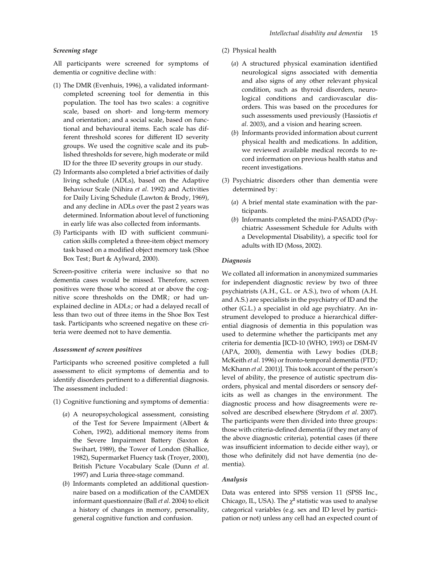## Screening stage

All participants were screened for symptoms of dementia or cognitive decline with:

- (1) The DMR (Evenhuis, 1996), a validated informantcompleted screening tool for dementia in this population. The tool has two scales: a cognitive scale, based on short- and long-term memory and orientation; and a social scale, based on functional and behavioural items. Each scale has different threshold scores for different ID severity groups. We used the cognitive scale and its published thresholds for severe, high moderate or mild ID for the three ID severity groups in our study.
- (2) Informants also completed a brief activities of daily living schedule (ADLs), based on the Adaptive Behaviour Scale (Nihira et al. 1992) and Activities for Daily Living Schedule (Lawton & Brody, 1969), and any decline in ADLs over the past 2 years was determined. Information about level of functioning in early life was also collected from informants.
- (3) Participants with ID with sufficient communication skills completed a three-item object memory task based on a modified object memory task (Shoe Box Test; Burt & Aylward, 2000).

Screen-positive criteria were inclusive so that no dementia cases would be missed. Therefore, screen positives were those who scored at or above the cognitive score thresholds on the DMR; or had unexplained decline in ADLs; or had a delayed recall of less than two out of three items in the Shoe Box Test task. Participants who screened negative on these criteria were deemed not to have dementia.

# Assessment of screen positives

Participants who screened positive completed a full assessment to elicit symptoms of dementia and to identify disorders pertinent to a differential diagnosis. The assessment included:

- (1) Cognitive functioning and symptoms of dementia:
	- (a) A neuropsychological assessment, consisting of the Test for Severe Impairment (Albert & Cohen, 1992), additional memory items from the Severe Impairment Battery (Saxton & Swihart, 1989), the Tower of London (Shallice, 1982), Supermarket Fluency task (Troyer, 2000), British Picture Vocabulary Scale (Dunn et al. 1997) and Luria three-stage command.
	- (b) Informants completed an additional questionnaire based on a modification of the CAMDEX informant questionnaire (Ball et al. 2004) to elicit a history of changes in memory, personality, general cognitive function and confusion.
- (2) Physical health
	- (a) A structured physical examination identified neurological signs associated with dementia and also signs of any other relevant physical condition, such as thyroid disorders, neurological conditions and cardiovascular disorders. This was based on the procedures for such assessments used previously (Hassiotis et al. 2003), and a vision and hearing screen.
	- (b) Informants provided information about current physical health and medications. In addition, we reviewed available medical records to record information on previous health status and recent investigations.
- (3) Psychiatric disorders other than dementia were determined by:
	- (a) A brief mental state examination with the participants.
	- (b) Informants completed the mini-PASADD (Psychiatric Assessment Schedule for Adults with a Developmental Disability), a specific tool for adults with ID (Moss, 2002).

## Diagnosis

We collated all information in anonymized summaries for independent diagnostic review by two of three psychiatrists (A.H., G.L. or A.S.), two of whom (A.H. and A.S.) are specialists in the psychiatry of ID and the other (G.L.) a specialist in old age psychiatry. An instrument developed to produce a hierarchical differential diagnosis of dementia in this population was used to determine whether the participants met any criteria for dementia [ICD-10 (WHO, 1993) or DSM-IV (APA, 2000), dementia with Lewy bodies (DLB; McKeith et al. 1996) or fronto-temporal dementia (FTD; McKhann et al. 2001)]. This took account of the person's level of ability, the presence of autistic spectrum disorders, physical and mental disorders or sensory deficits as well as changes in the environment. The diagnostic process and how disagreements were resolved are described elsewhere (Strydom et al. 2007). The participants were then divided into three groups: those with criteria-defined dementia (if they met any of the above diagnostic criteria), potential cases (if there was insufficient information to decide either way), or those who definitely did not have dementia (no dementia).

## Analysis

Data was entered into SPSS version 11 (SPSS Inc., Chicago, IL, USA). The  $\chi^2$  statistic was used to analyse categorical variables (e.g. sex and ID level by participation or not) unless any cell had an expected count of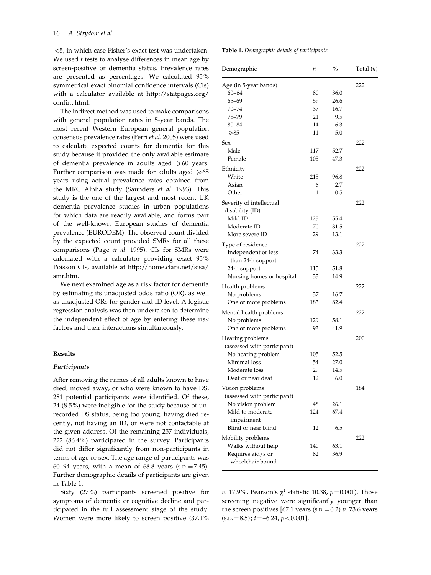<5, in which case Fisher's exact test was undertaken. We used  $t$  tests to analyse differences in mean age by screen-positive or dementia status. Prevalence rates are presented as percentages. We calculated 95% symmetrical exact binomial confidence intervals (CIs) with a calculator available at http://statpages.org/ confint.html.

The indirect method was used to make comparisons with general population rates in 5-year bands. The most recent Western European general population consensus prevalence rates (Ferri et al. 2005) were used to calculate expected counts for dementia for this study because it provided the only available estimate of dementia prevalence in adults aged  $\geq 60$  years. Further comparison was made for adults aged  $\geq 65$ years using actual prevalence rates obtained from the MRC Alpha study (Saunders et al. 1993). This study is the one of the largest and most recent UK dementia prevalence studies in urban populations for which data are readily available, and forms part of the well-known European studies of dementia prevalence (EURODEM). The observed count divided by the expected count provided SMRs for all these comparisons (Page et al. 1995). CIs for SMRs were calculated with a calculator providing exact 95% Poisson CIs, available at http://home.clara.net/sisa/ smr.htm.

We next examined age as a risk factor for dementia by estimating its unadjusted odds ratio (OR), as well as unadjusted ORs for gender and ID level. A logistic regression analysis was then undertaken to determine the independent effect of age by entering these risk factors and their interactions simultaneously.

# Results

#### Participants

After removing the names of all adults known to have died, moved away, or who were known to have DS, 281 potential participants were identified. Of these, 24 (8.5%) were ineligible for the study because of unrecorded DS status, being too young, having died recently, not having an ID, or were not contactable at the given address. Of the remaining 257 individuals, 222 (86.4%) participated in the survey. Participants did not differ significantly from non-participants in terms of age or sex. The age range of participants was 60–94 years, with a mean of  $68.8$  years  $(s.D. = 7.45)$ . Further demographic details of participants are given in Table 1.

Sixty (27%) participants screened positive for symptoms of dementia or cognitive decline and participated in the full assessment stage of the study. Women were more likely to screen positive (37.1%

| <b>Table 1.</b> Demographic details of participants |  |  |  |
|-----------------------------------------------------|--|--|--|
|-----------------------------------------------------|--|--|--|

| Demographic                                       | п         | $\%$ | Total $(n)$ |
|---------------------------------------------------|-----------|------|-------------|
| Age (in 5-year bands)                             |           |      | 222         |
| $60 - 64$                                         | 80        | 36.0 |             |
| $65 - 69$                                         | 59        | 26.6 |             |
| 70–74                                             | 37        | 16.7 |             |
| 75–79                                             | 21        | 9.5  |             |
| $80 - 84$                                         | 14        | 6.3  |             |
| $\geqslant$ 85                                    | 11        | 5.0  |             |
| Sex                                               |           |      | 222         |
| Male                                              | 117       | 52.7 |             |
| Female                                            | 105       | 47.3 |             |
| Ethnicity                                         |           |      | 222         |
| White                                             | 215       | 96.8 |             |
| Asian                                             | 6         | 2.7  |             |
| Other                                             | 1         | 0.5  |             |
| Severity of intellectual                          |           |      | 222         |
| disability (ID)                                   |           |      |             |
| Mild ID                                           | 123       | 55.4 |             |
| Moderate ID                                       | 70        | 31.5 |             |
| More severe ID                                    | 29        | 13.1 |             |
| Type of residence                                 |           |      | 222         |
| Independent or less<br>than 24-h support          | 74        | 33.3 |             |
| 24-h support                                      | 115       | 51.8 |             |
| Nursing homes or hospital                         | 33        | 14.9 |             |
| Health problems                                   |           |      | 222         |
| No problems                                       | 37        | 16.7 |             |
| One or more problems                              | 183       | 82.4 |             |
| Mental health problems                            |           |      | 222         |
| No problems                                       | 129       | 58.1 |             |
| One or more problems                              | 93        | 41.9 |             |
|                                                   |           |      |             |
| Hearing problems                                  |           |      | 200         |
| (assessed with participant)<br>No hearing problem | 105       | 52.5 |             |
| Minimal loss                                      | 54        | 27.0 |             |
| Moderate loss                                     | 29        | 14.5 |             |
| Deaf or near deaf                                 | 12        | 6.0  |             |
|                                                   |           |      |             |
| Vision problems                                   |           |      | 184         |
| (assessed with participant)                       |           |      |             |
| No vision problem<br>Mild to moderate             | 48<br>124 | 26.1 |             |
| impairment                                        |           | 67.4 |             |
| Blind or near blind                               | 12        | 6.5  |             |
| Mobility problems                                 |           |      | 222         |
| Walks without help                                | 140       | 63.1 |             |
| Requires aid/s or<br>wheelchair bound             | 82        | 36.9 |             |
|                                                   |           |      |             |

v. 17.9%, Pearson's  $\chi^2$  statistic 10.38,  $p = 0.001$ ). Those screening negative were significantly younger than the screen positives [67.1 years (s.p.  $= 6.2$ ) v. 73.6 years  $(s.D. = 8.5)$ ;  $t = -6.24$ ,  $p < 0.001$ ].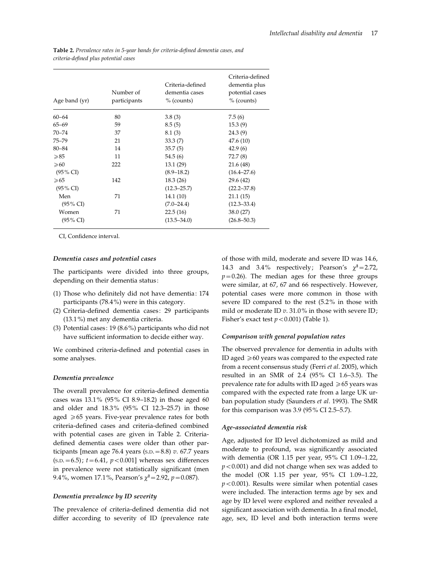Table 2. Prevalence rates in 5-year bands for criteria-defined dementia cases, and criteria-defined plus potential cases

| Age band (yr)       | Number of<br>participants | Criteria-defined<br>dementia cases<br>$%$ (counts) | Criteria-defined<br>dementia plus<br>potential cases<br>$%$ (counts) |
|---------------------|---------------------------|----------------------------------------------------|----------------------------------------------------------------------|
| $60 - 64$           | 80                        | 3.8(3)                                             | 7.5(6)                                                               |
| $65 - 69$           | 59                        | 8.5(5)                                             | 15.3(9)                                                              |
| $70 - 74$           | 37                        | 8.1(3)                                             | 24.3(9)                                                              |
| $75 - 79$           | 21                        | 33.3(7)                                            | 47.6(10)                                                             |
| $80 - 84$           | 14                        | 35.7(5)                                            | 42.9(6)                                                              |
| $\geqslant 85$      | 11                        | 54.5(6)                                            | 72.7 (8)                                                             |
| $\geqslant 60$      | 222                       | 13.1 (29)                                          | 21.6(48)                                                             |
| $(95\% \text{ CI})$ |                           | $(8.9 - 18.2)$                                     | $(16.4 - 27.6)$                                                      |
| $\geqslant 65$      | 142                       | 18.3(26)                                           | 29.6 (42)                                                            |
| $(95\% \text{ CI})$ |                           | $(12.3 - 25.7)$                                    | $(22.2 - 37.8)$                                                      |
| Men                 | 71                        | 14.1(10)                                           | 21.1(15)                                                             |
| $(95\% \text{ CI})$ |                           | $(7.0 - 24.4)$                                     | $(12.3 - 33.4)$                                                      |
| Women               | 71                        | 22.5(16)                                           | 38.0 (27)                                                            |
| $(95\% \text{ CI})$ |                           | $(13.5 - 34.0)$                                    | $(26.8 - 50.3)$                                                      |

CI, Confidence interval.

#### Dementia cases and potential cases

The participants were divided into three groups, depending on their dementia status:

- (1) Those who definitely did not have dementia: 174 participants (78.4%) were in this category.
- (2) Criteria-defined dementia cases: 29 participants (13.1%) met any dementia criteria.
- (3) Potential cases: 19 (8.6%) participants who did not have sufficient information to decide either way.

We combined criteria-defined and potential cases in some analyses.

# Dementia prevalence

The overall prevalence for criteria-defined dementia cases was 13.1% (95% CI 8.9–18.2) in those aged 60 and older and 18.3% (95% CI 12.3–25.7) in those aged  $\geq 65$  years. Five-year prevalence rates for both criteria-defined cases and criteria-defined combined with potential cases are given in Table 2. Criteriadefined dementia cases were older than other participants [mean age 76.4 years (s.p.  $= 8.8$ ) v. 67.7 years (s.p. = 6.5);  $t = 6.41$ ,  $p < 0.001$ ] whereas sex differences in prevalence were not statistically significant (men 9.4%, women 17.1%, Pearson's  $\chi^2$  = 2.92, p = 0.087).

# Dementia prevalence by ID severity

The prevalence of criteria-defined dementia did not differ according to severity of ID (prevalence rate

of those with mild, moderate and severe ID was 14.6, 14.3 and 3.4% respectively; Pearson's  $\chi^2$  = 2.72,  $p=0.26$ ). The median ages for these three groups were similar, at 67, 67 and 66 respectively. However, potential cases were more common in those with severe ID compared to the rest (5.2% in those with mild or moderate ID  $v$ . 31.0% in those with severe ID; Fisher's exact test  $p < 0.001$ ) (Table 1).

#### Comparison with general population rates

The observed prevalence for dementia in adults with ID aged  $\geq 60$  years was compared to the expected rate from a recent consensus study (Ferri et al. 2005), which resulted in an SMR of 2.4 (95% CI 1.6–3.5). The prevalence rate for adults with ID aged  $\geq 65$  years was compared with the expected rate from a large UK urban population study (Saunders et al. 1993). The SMR for this comparison was 3.9 (95% CI 2.5–5.7).

#### Age-associated dementia risk

Age, adjusted for ID level dichotomized as mild and moderate to profound, was significantly associated with dementia (OR 1.15 per year, 95% CI 1.09–1.22,  $p < 0.001$ ) and did not change when sex was added to the model (OR 1.15 per year, 95% CI 1.09–1.22,  $p < 0.001$ ). Results were similar when potential cases were included. The interaction terms age by sex and age by ID level were explored and neither revealed a significant association with dementia. In a final model, age, sex, ID level and both interaction terms were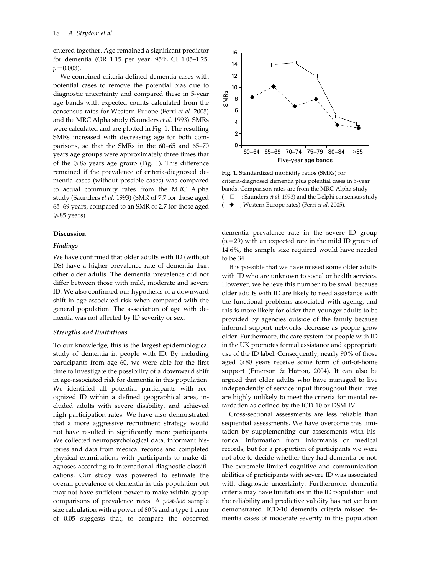entered together. Age remained a significant predictor for dementia (OR 1.15 per year, 95% CI 1.05–1.25,  $p=0.003$ ).

We combined criteria-defined dementia cases with potential cases to remove the potential bias due to diagnostic uncertainty and compared these in 5-year age bands with expected counts calculated from the consensus rates for Western Europe (Ferri et al. 2005) and the MRC Alpha study (Saunders et al. 1993). SMRs were calculated and are plotted in Fig. 1. The resulting SMRs increased with decreasing age for both comparisons, so that the SMRs in the 60–65 and 65–70 years age groups were approximately three times that of the  $\geq 85$  years age group (Fig. 1). This difference remained if the prevalence of criteria-diagnosed dementia cases (without possible cases) was compared to actual community rates from the MRC Alpha study (Saunders et al. 1993) (SMR of 7.7 for those aged 65–69 years, compared to an SMR of 2.7 for those aged  $\geq 85$  years).

#### Discussion

## Findings

We have confirmed that older adults with ID (without DS) have a higher prevalence rate of dementia than other older adults. The dementia prevalence did not differ between those with mild, moderate and severe ID. We also confirmed our hypothesis of a downward shift in age-associated risk when compared with the general population. The association of age with dementia was not affected by ID severity or sex.

#### Strengths and limitations

To our knowledge, this is the largest epidemiological study of dementia in people with ID. By including participants from age 60, we were able for the first time to investigate the possibility of a downward shift in age-associated risk for dementia in this population. We identified all potential participants with recognized ID within a defined geographical area, included adults with severe disability, and achieved high participation rates. We have also demonstrated that a more aggressive recruitment strategy would not have resulted in significantly more participants. We collected neuropsychological data, informant histories and data from medical records and completed physical examinations with participants to make diagnoses according to international diagnostic classifications. Our study was powered to estimate the overall prevalence of dementia in this population but may not have sufficient power to make within-group comparisons of prevalence rates. A post-hoc sample size calculation with a power of 80% and a type 1 error of 0.05 suggests that, to compare the observed



Fig. 1. Standardized morbidity ratios (SMRs) for criteria-diagnosed dementia plus potential cases in 5-year bands. Comparison rates are from the MRC-Alpha study  $(-\Box -$ ; Saunders *et al.* 1993) and the Delphi consensus study (- -2- -; Western Europe rates) (Ferri et al. 2005).

dementia prevalence rate in the severe ID group  $(n=29)$  with an expected rate in the mild ID group of 14.6%, the sample size required would have needed to be 34.

It is possible that we have missed some older adults with ID who are unknown to social or health services. However, we believe this number to be small because older adults with ID are likely to need assistance with the functional problems associated with ageing, and this is more likely for older than younger adults to be provided by agencies outside of the family because informal support networks decrease as people grow older. Furthermore, the care system for people with ID in the UK promotes formal assistance and appropriate use of the ID label. Consequently, nearly 90% of those aged  $\geq 80$  years receive some form of out-of-home support (Emerson & Hatton, 2004). It can also be argued that older adults who have managed to live independently of service input throughout their lives are highly unlikely to meet the criteria for mental retardation as defined by the ICD-10 or DSM-IV.

Cross-sectional assessments are less reliable than sequential assessments. We have overcome this limitation by supplementing our assessments with historical information from informants or medical records, but for a proportion of participants we were not able to decide whether they had dementia or not. The extremely limited cognitive and communication abilities of participants with severe ID was associated with diagnostic uncertainty. Furthermore, dementia criteria may have limitations in the ID population and the reliability and predictive validity has not yet been demonstrated. ICD-10 dementia criteria missed dementia cases of moderate severity in this population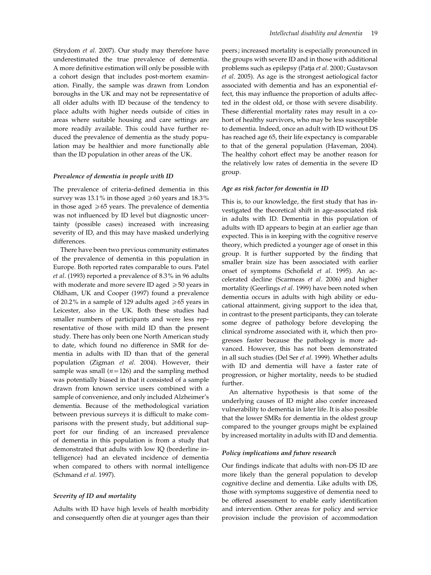(Strydom et al. 2007). Our study may therefore have underestimated the true prevalence of dementia. A more definitive estimation will only be possible with a cohort design that includes post-mortem examination. Finally, the sample was drawn from London boroughs in the UK and may not be representative of all older adults with ID because of the tendency to place adults with higher needs outside of cities in areas where suitable housing and care settings are more readily available. This could have further reduced the prevalence of dementia as the study population may be healthier and more functionally able than the ID population in other areas of the UK.

# Prevalence of dementia in people with ID

The prevalence of criteria-defined dementia in this survey was 13.1% in those aged  $\geq 60$  years and 18.3% in those aged  $\geq 65$  years. The prevalence of dementia was not influenced by ID level but diagnostic uncertainty (possible cases) increased with increasing severity of ID, and this may have masked underlying differences.

There have been two previous community estimates of the prevalence of dementia in this population in Europe. Both reported rates comparable to ours. Patel et al. (1993) reported a prevalence of 8.3% in 96 adults with moderate and more severe ID aged  $\geq 50$  years in Oldham, UK and Cooper (1997) found a prevalence of 20.2% in a sample of 129 adults aged  $\geq 65$  years in Leicester, also in the UK. Both these studies had smaller numbers of participants and were less representative of those with mild ID than the present study. There has only been one North American study to date, which found no difference in SMR for dementia in adults with ID than that of the general population (Zigman et al. 2004). However, their sample was small ( $n=126$ ) and the sampling method was potentially biased in that it consisted of a sample drawn from known service users combined with a sample of convenience, and only included Alzheimer's dementia. Because of the methodological variation between previous surveys it is difficult to make comparisons with the present study, but additional support for our finding of an increased prevalence of dementia in this population is from a study that demonstrated that adults with low IQ (borderline intelligence) had an elevated incidence of dementia when compared to others with normal intelligence (Schmand et al. 1997).

# Severity of ID and mortality

Adults with ID have high levels of health morbidity and consequently often die at younger ages than their

peers; increased mortality is especially pronounced in the groups with severe ID and in those with additional problems such as epilepsy (Patja et al. 2000; Gustavson et al. 2005). As age is the strongest aetiological factor associated with dementia and has an exponential effect, this may influence the proportion of adults affected in the oldest old, or those with severe disability. These differential mortality rates may result in a cohort of healthy survivors, who may be less susceptible to dementia. Indeed, once an adult with ID without DS has reached age 65, their life expectancy is comparable to that of the general population (Haveman, 2004). The healthy cohort effect may be another reason for the relatively low rates of dementia in the severe ID group.

# Age as risk factor for dementia in ID

This is, to our knowledge, the first study that has investigated the theoretical shift in age-associated risk in adults with ID. Dementia in this population of adults with ID appears to begin at an earlier age than expected. This is in keeping with the cognitive reserve theory, which predicted a younger age of onset in this group. It is further supported by the finding that smaller brain size has been associated with earlier onset of symptoms (Schofield et al. 1995). An accelerated decline (Scarmeas et al. 2006) and higher mortality (Geerlings et al. 1999) have been noted when dementia occurs in adults with high ability or educational attainment, giving support to the idea that, in contrast to the present participants, they can tolerate some degree of pathology before developing the clinical syndrome associated with it, which then progresses faster because the pathology is more advanced. However, this has not been demonstrated in all such studies (Del Ser et al. 1999). Whether adults with ID and dementia will have a faster rate of progression, or higher mortality, needs to be studied further.

An alternative hypothesis is that some of the underlying causes of ID might also confer increased vulnerability to dementia in later life. It is also possible that the lower SMRs for dementia in the oldest group compared to the younger groups might be explained by increased mortality in adults with ID and dementia.

# Policy implications and future research

Our findings indicate that adults with non-DS ID are more likely than the general population to develop cognitive decline and dementia. Like adults with DS, those with symptoms suggestive of dementia need to be offered assessment to enable early identification and intervention. Other areas for policy and service provision include the provision of accommodation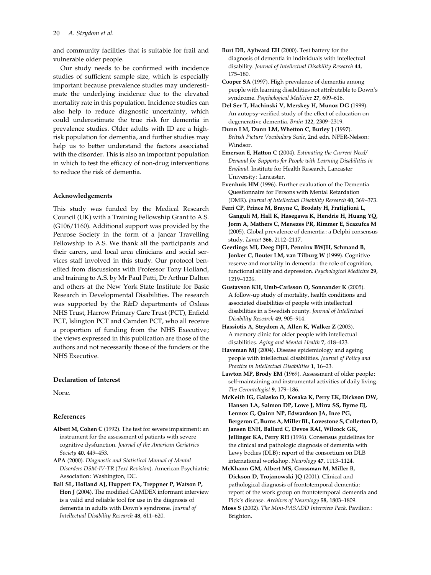and community facilities that is suitable for frail and vulnerable older people.

Our study needs to be confirmed with incidence studies of sufficient sample size, which is especially important because prevalence studies may underestimate the underlying incidence due to the elevated mortality rate in this population. Incidence studies can also help to reduce diagnostic uncertainty, which could underestimate the true risk for dementia in prevalence studies. Older adults with ID are a highrisk population for dementia, and further studies may help us to better understand the factors associated with the disorder. This is also an important population in which to test the efficacy of non-drug interventions to reduce the risk of dementia.

## Acknowledgements

This study was funded by the Medical Research Council (UK) with a Training Fellowship Grant to A.S. (G106/1160). Additional support was provided by the Penrose Society in the form of a Jancar Travelling Fellowship to A.S. We thank all the participants and their carers, and local area clinicians and social services staff involved in this study. Our protocol benefited from discussions with Professor Tony Holland, and training to A.S. by Mr Paul Patti, Dr Arthur Dalton and others at the New York State Institute for Basic Research in Developmental Disabilities. The research was supported by the R&D departments of Oxleas NHS Trust, Harrow Primary Care Trust (PCT), Enfield PCT, Islington PCT and Camden PCT, who all receive a proportion of funding from the NHS Executive; the views expressed in this publication are those of the authors and not necessarily those of the funders or the NHS Executive.

# Declaration of Interest

None.

## References

- Albert M, Cohen C (1992). The test for severe impairment: an instrument for the assessment of patients with severe cognitive dysfunction. Journal of the American Geriatrics Society 40, 449–453.
- APA (2000). Diagnostic and Statistical Manual of Mental Disorders DSM-IV-TR (Text Revision). American Psychiatric Association: Washington, DC.
- Ball SL, Holland AJ, Huppert FA, Treppner P, Watson P, Hon J (2004). The modified CAMDEX informant interview is a valid and reliable tool for use in the diagnosis of dementia in adults with Down's syndrome. Journal of Intellectual Disability Research 48, 611–620.
- Burt DB, Aylward EH (2000). Test battery for the diagnosis of dementia in individuals with intellectual disability. Journal of Intellectual Disability Research 44, 175–180.
- Cooper SA (1997). High prevalence of dementia among people with learning disabilities not attributable to Down's syndrome. Psychological Medicine 27, 609–616.
- Del Ser T, Hachinski V, Merskey H, Munoz DG (1999). An autopsy-verified study of the effect of education on degenerative dementia. Brain 122, 2309–2319.
- Dunn LM, Dunn LM, Whetton C, Burley J (1997). British Picture Vocabulary Scale, 2nd edn. NFER-Nelson : Windsor.
- Emerson E, Hatton C (2004). Estimating the Current Need/ Demand for Supports for People with Learning Disabilities in England. Institute for Health Research, Lancaster University: Lancaster.
- Evenhuis HM (1996). Further evaluation of the Dementia Questionnaire for Persons with Mental Retardation (DMR). Journal of Intellectual Disability Research 40, 369–373.
- Ferri CP, Prince M, Brayne C, Brodaty H, Fratiglioni L, Ganguli M, Hall K, Hasegawa K, Hendrie H, Huang YQ, Jorm A, Mathers C, Menezes PR, Rimmer E, Scazufca M (2005). Global prevalence of dementia : a Delphi consensus study. Lancet 366, 2112–2117.
- Geerlings MI, Deeg DJH, Penninx BWJH, Schmand B, Jonker C, Bouter LM, van Tilburg W (1999). Cognitive reserve and mortality in dementia : the role of cognition, functional ability and depression. Psychological Medicine 29, 1219–1226.
- Gustavson KH, Umb-Carlsson O, Sonnander K (2005). A follow-up study of mortality, health conditions and associated disabilities of people with intellectual disabilities in a Swedish county. Journal of Intellectual Disability Research 49, 905–914.
- Hassiotis A, Strydom A, Allen K, Walker Z (2003). A memory clinic for older people with intellectual disabilities. Aging and Mental Health 7, 418–423.
- Haveman MJ (2004). Disease epidemiology and ageing people with intellectual disabilities. Journal of Policy and Practice in Intellectual Disabilities 1, 16–23.
- Lawton MP, Brody EM (1969). Assessment of older people: self-maintaining and instrumental activities of daily living. The Gerontologist 9, 179–186.
- McKeith IG, Galasko D, Kosaka K, Perry EK, Dickson DW, Hansen LA, Salmon DP, Lowe J, Mirra SS, Byrne EJ, Lennox G, Quinn NP, Edwardson JA, Ince PG, Bergeron C, Burns A, Miller BL, Lovestone S, Collerton D, Jansen ENH, Ballard C, Devos RAI, Wilcock GK, Jellinger KA, Perry RH (1996). Consensus guidelines for the clinical and pathologic diagnosis of dementia with Lewy bodies (DLB): report of the consortium on DLB international workshop. Neurology 47, 1113–1124.
- McKhann GM, Albert MS, Grossman M, Miller B, Dickson D, Trojanowski JQ (2001). Clinical and pathological diagnosis of frontotemporal dementia : report of the work group on frontotemporal dementia and Pick's disease. Archives of Neurology 58, 1803–1809.
- Moss S (2002). The Mini-PASADD Interview Pack. Pavilion: Brighton.